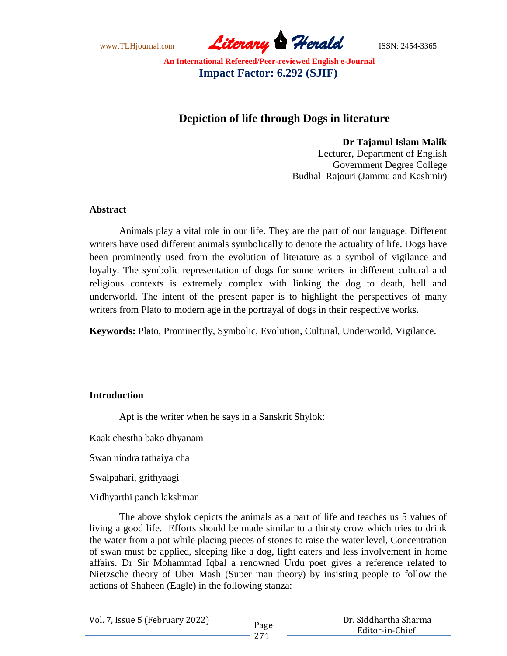www.TLHjournal.com *Literary Herald*ISSN: 2454-3365

# **Depiction of life through Dogs in literature**

**Dr Tajamul Islam Malik**

Lecturer, Department of English Government Degree College Budhal–Rajouri (Jammu and Kashmir)

### **Abstract**

Animals play a vital role in our life. They are the part of our language. Different writers have used different animals symbolically to denote the actuality of life. Dogs have been prominently used from the evolution of literature as a symbol of vigilance and loyalty. The symbolic representation of dogs for some writers in different cultural and religious contexts is extremely complex with linking the dog to death, hell and underworld. The intent of the present paper is to highlight the perspectives of many writers from Plato to modern age in the portrayal of dogs in their respective works.

**Keywords:** Plato, Prominently, Symbolic, Evolution, Cultural, Underworld, Vigilance.

### **Introduction**

Apt is the writer when he says in a Sanskrit Shylok:

Kaak chestha bako dhyanam

Swan nindra tathaiya cha

Swalpahari, grithyaagi

Vidhyarthi panch lakshman

The above shylok depicts the animals as a part of life and teaches us 5 values of living a good life. Efforts should be made similar to a thirsty crow which tries to drink the water from a pot while placing pieces of stones to raise the water level, Concentration of swan must be applied, sleeping like a dog, light eaters and less involvement in home affairs. Dr Sir Mohammad Iqbal a renowned Urdu poet gives a reference related to Nietzsche theory of Uber Mash (Super man theory) by insisting people to follow the actions of Shaheen (Eagle) in the following stanza:

| Vol. 7, Issue 5 (February 2022) |      | Dr. Siddhartha Sharma |  |
|---------------------------------|------|-----------------------|--|
|                                 | Page | Editor-in-Chief       |  |
|                                 |      |                       |  |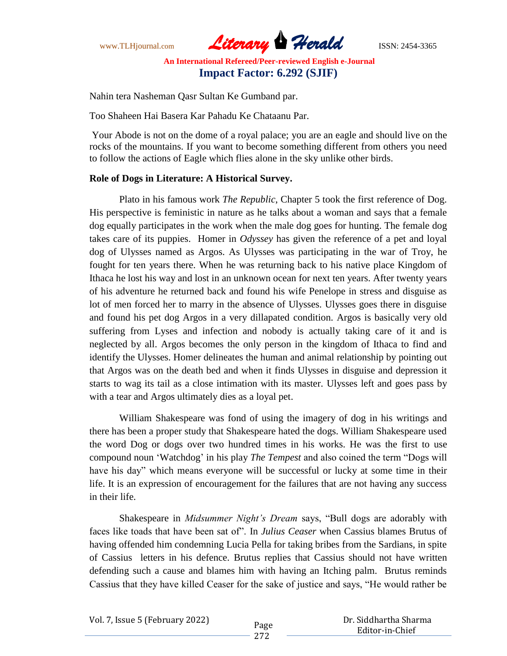www.TLHjournal.com *Literary Herald*ISSN: 2454-3365

Nahin tera Nasheman Qasr Sultan Ke Gumband par.

Too Shaheen Hai Basera Kar Pahadu Ke Chataanu Par.

Your Abode is not on the dome of a royal palace; you are an eagle and should live on the rocks of the mountains. If you want to become something different from others you need to follow the actions of Eagle which flies alone in the sky unlike other birds.

## **Role of Dogs in Literature: A Historical Survey.**

Plato in his famous work *The Republic*, Chapter 5 took the first reference of Dog. His perspective is feministic in nature as he talks about a woman and says that a female dog equally participates in the work when the male dog goes for hunting. The female dog takes care of its puppies. Homer in *Odyssey* has given the reference of a pet and loyal dog of Ulysses named as Argos. As Ulysses was participating in the war of Troy, he fought for ten years there. When he was returning back to his native place Kingdom of Ithaca he lost his way and lost in an unknown ocean for next ten years. After twenty years of his adventure he returned back and found his wife Penelope in stress and disguise as lot of men forced her to marry in the absence of Ulysses. Ulysses goes there in disguise and found his pet dog Argos in a very dillapated condition. Argos is basically very old suffering from Lyses and infection and nobody is actually taking care of it and is neglected by all. Argos becomes the only person in the kingdom of Ithaca to find and identify the Ulysses. Homer delineates the human and animal relationship by pointing out that Argos was on the death bed and when it finds Ulysses in disguise and depression it starts to wag its tail as a close intimation with its master. Ulysses left and goes pass by with a tear and Argos ultimately dies as a loyal pet.

William Shakespeare was fond of using the imagery of dog in his writings and there has been a proper study that Shakespeare hated the dogs. William Shakespeare used the word Dog or dogs over two hundred times in his works. He was the first to use compound noun "Watchdog" in his play *The Tempest* and also coined the term "Dogs will have his day" which means everyone will be successful or lucky at some time in their life. It is an expression of encouragement for the failures that are not having any success in their life.

Shakespeare in *Midsummer Night's Dream* says, "Bull dogs are adorably with faces like toads that have been sat of". In *Julius Ceaser* when Cassius blames Brutus of having offended him condemning Lucia Pella for taking bribes from the Sardians, in spite of Cassius letters in his defence. Brutus replies that Cassius should not have written defending such a cause and blames him with having an Itching palm. Brutus reminds Cassius that they have killed Ceaser for the sake of justice and says, "He would rather be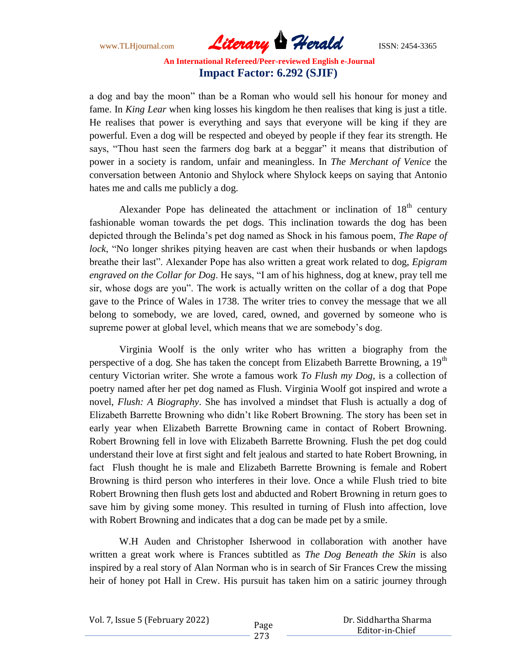www.TLHjournal.com *Literary Herald*ISSN: 2454-3365

a dog and bay the moon" than be a Roman who would sell his honour for money and fame. In *King Lear* when king losses his kingdom he then realises that king is just a title. He realises that power is everything and says that everyone will be king if they are powerful. Even a dog will be respected and obeyed by people if they fear its strength. He says, "Thou hast seen the farmers dog bark at a beggar" it means that distribution of power in a society is random, unfair and meaningless. In *The Merchant of Venice* the conversation between Antonio and Shylock where Shylock keeps on saying that Antonio hates me and calls me publicly a dog.

Alexander Pope has delineated the attachment or inclination of  $18<sup>th</sup>$  century fashionable woman towards the pet dogs. This inclination towards the dog has been depicted through the Belinda"s pet dog named as Shock in his famous poem, *The Rape of lock*, "No longer shrikes pitying heaven are cast when their husbands or when lapdogs breathe their last". Alexander Pope has also written a great work related to dog, *Epigram engraved on the Collar for Dog*. He says, "I am of his highness, dog at knew, pray tell me sir, whose dogs are you". The work is actually written on the collar of a dog that Pope gave to the Prince of Wales in 1738. The writer tries to convey the message that we all belong to somebody, we are loved, cared, owned, and governed by someone who is supreme power at global level, which means that we are somebody's dog.

Virginia Woolf is the only writer who has written a biography from the perspective of a dog. She has taken the concept from Elizabeth Barrette Browning, a 19<sup>th</sup> century Victorian writer. She wrote a famous work *To Flush my Dog*, is a collection of poetry named after her pet dog named as Flush. Virginia Woolf got inspired and wrote a novel, *Flush: A Biography*. She has involved a mindset that Flush is actually a dog of Elizabeth Barrette Browning who didn"t like Robert Browning. The story has been set in early year when Elizabeth Barrette Browning came in contact of Robert Browning. Robert Browning fell in love with Elizabeth Barrette Browning. Flush the pet dog could understand their love at first sight and felt jealous and started to hate Robert Browning, in fact Flush thought he is male and Elizabeth Barrette Browning is female and Robert Browning is third person who interferes in their love. Once a while Flush tried to bite Robert Browning then flush gets lost and abducted and Robert Browning in return goes to save him by giving some money. This resulted in turning of Flush into affection, love with Robert Browning and indicates that a dog can be made pet by a smile.

W.H Auden and Christopher Isherwood in collaboration with another have written a great work where is Frances subtitled as *The Dog Beneath the Skin* is also inspired by a real story of Alan Norman who is in search of Sir Frances Crew the missing heir of honey pot Hall in Crew. His pursuit has taken him on a satiric journey through

|  |  | Vol. 7, Issue 5 (February 2022) |
|--|--|---------------------------------|
|--|--|---------------------------------|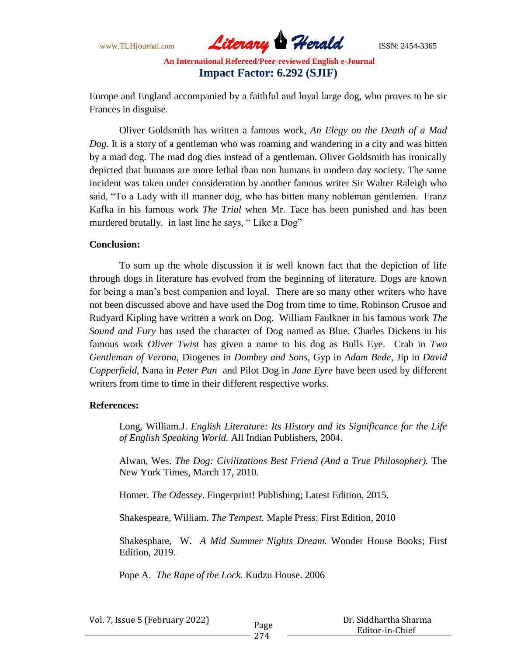www.TLHjournal.com *Literary Herald*ISSN: 2454-3365

Europe and England accompanied by a faithful and loyal large dog, who proves to be sir Frances in disguise.

Oliver Goldsmith has written a famous work, *An Elegy on the Death of a Mad Dog*. It is a story of a gentleman who was roaming and wandering in a city and was bitten by a mad dog. The mad dog dies instead of a gentleman. Oliver Goldsmith has ironically depicted that humans are more lethal than non humans in modern day society. The same incident was taken under consideration by another famous writer Sir Walter Raleigh who said, "To a Lady with ill manner dog, who has bitten many nobleman gentlemen. Franz Kafka in his famous work *The Trial* when Mr. Tace has been punished and has been murdered brutally. in last line he says, "Like a Dog"

### **Conclusion:**

To sum up the whole discussion it is well known fact that the depiction of life through dogs in literature has evolved from the beginning of literature. Dogs are known for being a man"s best companion and loyal. There are so many other writers who have not been discussed above and have used the Dog from time to time. Robinson Crusoe and Rudyard Kipling have written a work on Dog. William Faulkner in his famous work *The Sound and Fury* has used the character of Dog named as Blue. Charles Dickens in his famous work *Oliver Twist* has given a name to his dog as Bulls Eye. Crab in *Two Gentleman of Verona*, Diogenes in *Dombey and Sons*, Gyp in *Adam Bede*, Jip in *David Copperfield*, Nana in *Peter Pan* and Pilot Dog in *Jane Eyre* have been used by different writers from time to time in their different respective works.

### **References:**

Long, William.J. *English Literature: Its History and its Significance for the Life of English Speaking World.* All Indian Publishers, 2004.

Alwan, Wes. *The Dog: Civilizations Best Friend (And a True Philosopher).* The New York Times, March 17, 2010.

Homer. *The Odessey*. Fingerprint! Publishing; Latest Edition, 2015.

Shakespeare, William. *The Tempest.* Maple Press; First Edition, 2010

Shakesphare, W. *A Mid Summer Nights Dream.* Wonder House Books; First Edition, 2019.

Pope A. *The Rape of the Lock.* Kudzu House. 2006

| Vol. 7, Issue 5 (February 2022) |  |  |
|---------------------------------|--|--|
|---------------------------------|--|--|

Page

274